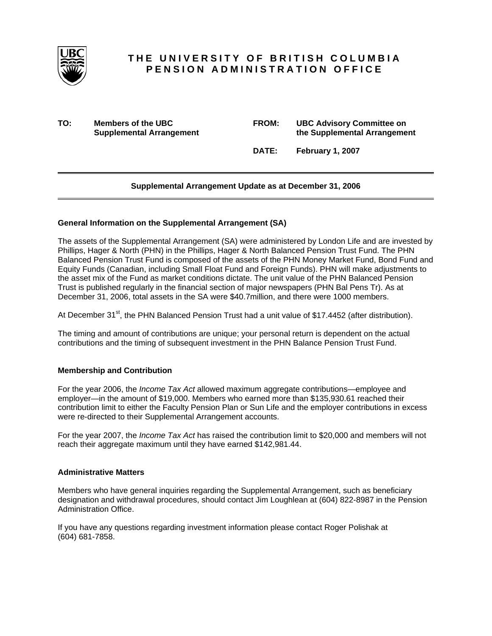

# **THE UNIVERSITY OF BRITISH COLUMBIA PENSION ADMINISTRATION OFFICE**

**TO:** Members of the UBC **Supplemental Arrangement** 

| <b>FROM:</b> | <b>UBC Advisory Committee on</b> |  |  |  |
|--------------|----------------------------------|--|--|--|
|              | the Supplemental Arrangement     |  |  |  |

 **DATE: February 1, 2007** 

## **Supplemental Arrangement Update as at December 31, 2006**

## **General Information on the Supplemental Arrangement (SA)**

The assets of the Supplemental Arrangement (SA) were administered by London Life and are invested by Phillips, Hager & North (PHN) in the Phillips, Hager & North Balanced Pension Trust Fund. The PHN Balanced Pension Trust Fund is composed of the assets of the PHN Money Market Fund, Bond Fund and Equity Funds (Canadian, including Small Float Fund and Foreign Funds). PHN will make adjustments to the asset mix of the Fund as market conditions dictate. The unit value of the PHN Balanced Pension Trust is published regularly in the financial section of major newspapers (PHN Bal Pens Tr). As at December 31, 2006, total assets in the SA were \$40.7million, and there were 1000 members.

At December 31 $st$ , the PHN Balanced Pension Trust had a unit value of \$17.4452 (after distribution).

The timing and amount of contributions are unique; your personal return is dependent on the actual contributions and the timing of subsequent investment in the PHN Balance Pension Trust Fund.

## **Membership and Contribution**

For the year 2006, the *Income Tax Act* allowed maximum aggregate contributions—employee and employer—in the amount of \$19,000. Members who earned more than \$135,930.61 reached their contribution limit to either the Faculty Pension Plan or Sun Life and the employer contributions in excess were re-directed to their Supplemental Arrangement accounts.

For the year 2007, the *Income Tax Act* has raised the contribution limit to \$20,000 and members will not reach their aggregate maximum until they have earned \$142,981.44.

## **Administrative Matters**

Members who have general inquiries regarding the Supplemental Arrangement, such as beneficiary designation and withdrawal procedures, should contact Jim Loughlean at (604) 822-8987 in the Pension Administration Office.

If you have any questions regarding investment information please contact Roger Polishak at (604) 681-7858.